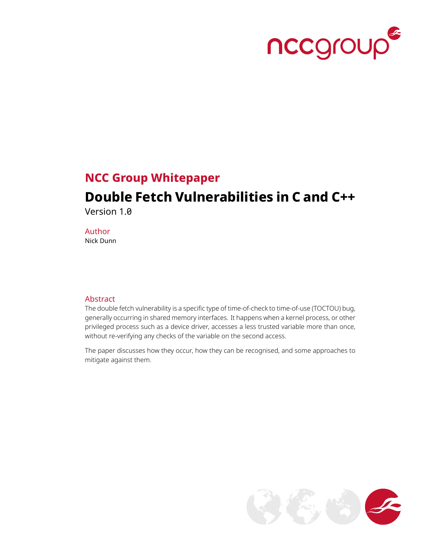

### **NCC Group Whitepaper**

# **Double Fetch Vulnerabilities in C and C++**

Version 1.0

Author Nick Dunn

#### **Abstract**

The double fetch vulnerability is a specific type of time-of-check to time-of-use (TOCTOU) bug, generally occurring in shared memory interfaces. It happens when a kernel process, or other privileged process such as a device driver, accesses a less trusted variable more than once, without re-verifying any checks of the variable on the second access.

The paper discusses how they occur, how they can be recognised, and some approaches to mitigate against them.

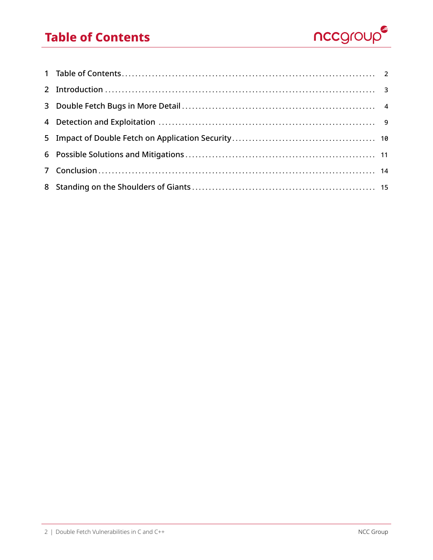### **Table of Contents**



<span id="page-1-0"></span>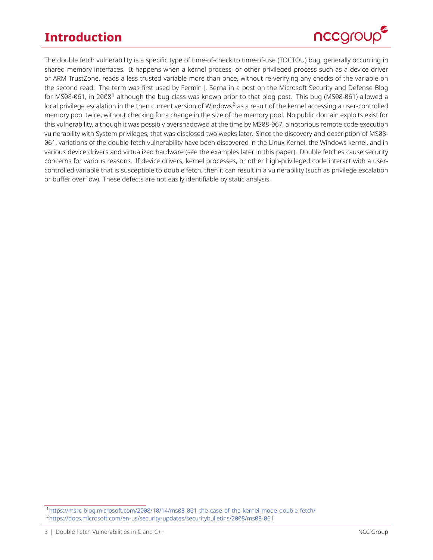## **Introduction**



<span id="page-2-0"></span>The double fetch vulnerability is a specific type of time-of-check to time-of-use (TOCTOU) bug, generally occurring in shared memory interfaces. It happens when a kernel process, or other privileged process such as a device driver or ARM TrustZone, reads a less trusted variable more than once, without re-verifying any checks of the variable on the second read. The term was first used by Fermin J. Serna in a post on the Microsoft Security and Defense Blog for MS08-06[1](#page-2-1), in 2008<sup>1</sup> although the bug class was known prior to that blog post. This bug (MS08-061) allowed a local privilege escalation in the then current version of Windows<sup>[2](#page-2-2)</sup> as a result of the kernel accessing a user-controlled memory pool twice, without checking for a change in the size of the memory pool. No public domain exploits exist for this vulnerability, although it was possibly overshadowed at the time by MS08-067, a notorious remote code execution vulnerability with System privileges, that was disclosed two weeks later. Since the discovery and description of MS08- 061, variations of the double-fetch vulnerability have been discovered in the Linux Kernel, the Windows kernel, and in various device drivers and virtualized hardware (see the examples later in this paper). Double fetches cause security concerns for various reasons. If device drivers, kernel processes, or other high-privileged code interact with a usercontrolled variable that is susceptible to double fetch, then it can result in a vulnerability (such as privilege escalation or buffer overflow). These defects are not easily identifiable by static analysis.

<span id="page-2-2"></span><span id="page-2-1"></span><sup>1</sup> <https://msrc-blog.microsoft.com/2008/10/14/ms08-061-the-case-of-the-kernel-mode-double-fetch/> 2 <https://docs.microsoft.com/en-us/security-updates/securitybulletins/2008/ms08-061>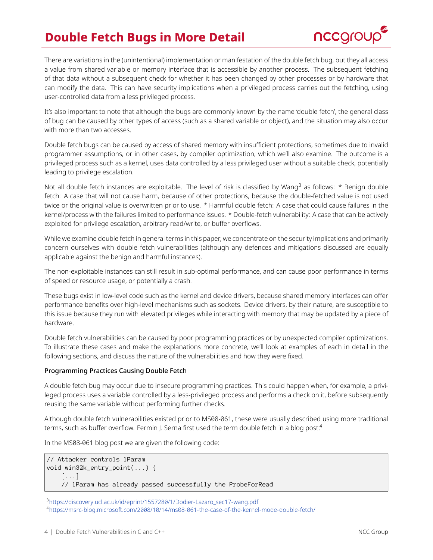## **Double Fetch Bugs in More Detail**



<span id="page-3-0"></span>There are variations in the (unintentional) implementation or manifestation of the double fetch bug, but they all access a value from shared variable or memory interface that is accessible by another process. The subsequent fetching of that data without a subsequent check for whether it has been changed by other processes or by hardware that can modify the data. This can have security implications when a privileged process carries out the fetching, using user-controlled data from a less privileged process.

It's also important to note that although the bugs are commonly known by the name 'double fetch', the general class of bug can be caused by other types of access (such as a shared variable or object), and the situation may also occur with more than two accesses.

Double fetch bugs can be caused by access of shared memory with insufficient protections, sometimes due to invalid programmer assumptions, or in other cases, by compiler optimization, which we'll also examine. The outcome is a privileged process such as a kernel, uses data controlled by a less privileged user without a suitable check, potentially leading to privilege escalation.

Not all double fetch instances are exploitable. The level of risk is classified by Wang<sup>[3](#page-3-1)</sup> as follows:  $*$  Benign double fetch: A case that will not cause harm, because of other protections, because the double-fetched value is not used twice or the original value is overwritten prior to use. \* Harmful double fetch: A case that could cause failures in the kernel/process with the failures limited to performance issues. \* Double-fetch vulnerability: A case that can be actively exploited for privilege escalation, arbitrary read/write, or buffer overflows.

While we examine double fetch in general terms in this paper, we concentrate on the security implications and primarily concern ourselves with double fetch vulnerabilities (although any defences and mitigations discussed are equally applicable against the benign and harmful instances).

The non-exploitable instances can still result in sub-optimal performance, and can cause poor performance in terms of speed or resource usage, or potentially a crash.

These bugs exist in low-level code such as the kernel and device drivers, because shared memory interfaces can offer performance benefits over high-level mechanisms such as sockets. Device drivers, by their nature, are susceptible to this issue because they run with elevated privileges while interacting with memory that may be updated by a piece of hardware.

Double fetch vulnerabilities can be caused by poor programming practices or by unexpected compiler optimizations. To illustrate these cases and make the explanations more concrete, we'll look at examples of each in detail in the following sections, and discuss the nature of the vulnerabilities and how they were fixed.

#### Programming Practices Causing Double Fetch

A double fetch bug may occur due to insecure programming practices. This could happen when, for example, a privileged process uses a variable controlled by a less-privileged process and performs a check on it, before subsequently reusing the same variable without performing further checks.

Although double fetch vulnerabilities existed prior to MS08-061, these were usually described using more traditional terms, such as buffer overflow. Fermin J. Serna first used the term double fetch in a blog post.<sup>[4](#page-3-2)</sup>

In the MS08-061 blog post we are given the following code:

```
// Attacker controls lParam
void win32k_entry_point(...) {
    [...]
    // lParam has already passed successfully the ProbeForRead
```
<span id="page-3-2"></span><span id="page-3-1"></span><sup>3</sup>[https://discovery.ucl.ac.uk/id/eprint/1557280/1/Dodier-Lazaro\\_sec17-wang.pdf](https://discovery.ucl.ac.uk/id/eprint/1557280/1/Dodier-Lazaro_sec17-wang.pdf) 4 <https://msrc-blog.microsoft.com/2008/10/14/ms08-061-the-case-of-the-kernel-mode-double-fetch/>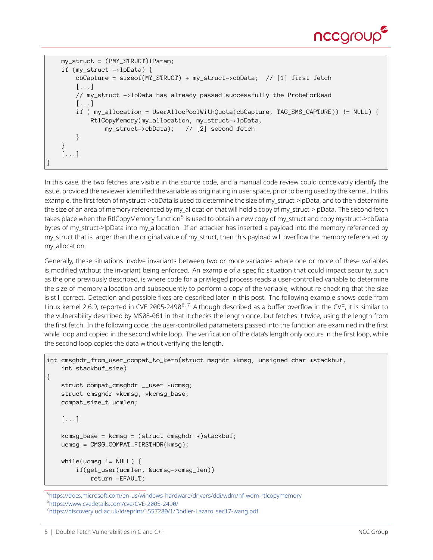

```
my_struct = (PMY_STRUCT)lParam;
   if (my_struct ->lpData) {
       cbCapture = sizeof(MY_STRUCT) + my_struct->cbData; // [1] first fetch
       [...]
       // my_struct ->lpData has already passed successfully the ProbeForRead
       [...]
       if ( my_allocation = UserAllocPoolWithQuota(cbCapture, TAG_SMS_CAPTURE)) != NULL) {
           RtlCopyMemory(my_allocation, my_struct->lpData,
               my_struct->cbData); // [2] second fetch
       }
    }
   [...]
}
```
In this case, the two fetches are visible in the source code, and a manual code review could conceivably identify the issue, provided the reviewer identified the variable as originating in user space, prior to being used by the kernel. In this example, the first fetch of mystruct->cbData is used to determine the size of my\_struct->lpData, and to then determine the size of an area of memory referenced by my\_allocation that will hold a copy of my\_struct->lpData. The second fetch takes place when the RtlCopyMemory function<sup>[5](#page-4-0)</sup> is used to obtain a new copy of my\_struct and copy mystruct->cbData bytes of my\_struct->lpData into my\_allocation. If an attacker has inserted a payload into the memory referenced by my\_struct that is larger than the original value of my\_struct, then this payload will overflow the memory referenced by my\_allocation.

Generally, these situations involve invariants between two or more variables where one or more of these variables is modified without the invariant being enforced. An example of a specific situation that could impact security, such as the one previously described, is where code for a privileged process reads a user-controlled variable to determine the size of memory allocation and subsequently to perform a copy of the variable, without re-checking that the size is still correct. Detection and possible fixes are described later in this post. The following example shows code from Linux kernel 2.[6](#page-4-1).9, reported in CVE 2005-2490<sup>6,[7](#page-4-2)</sup> Although described as a buffer overflow in the CVE, it is similar to the vulnerability described by MS08-061 in that it checks the length once, but fetches it twice, using the length from the first fetch. In the following code, the user-controlled parameters passed into the function are examined in the first while loop and copied in the second while loop. The verification of the data's length only occurs in the first loop, while the second loop copies the data without verifying the length.

```
int cmsghdr_from_user_compat_to_kern(struct msghdr *kmsg, unsigned char *stackbuf,
    int stackbuf_size)
{
    struct compat_cmsghdr __user *ucmsg;
    struct cmsghdr *kcmsg, *kcmsg_base;
    compat_size_t ucmlen;
    [\ldots]kcmsg_base = kcmsg = (struct cmsghdr * )stackbuf;ucmsq = CMSG COMPAT FIRSTHDR(kmsq);
    while(ucmsg != NULL) {
        if(get_user(ucmlen, &ucmsg->cmsg_len))
            return -EFAULT;
```

```
5
https://docs.microsoft.com/en-us/windows-hardware/drivers/ddi/wdm/nf-wdm-rtlcopymemory
```

```
6
https://www.cvedetails.com/cve/CVE-2005-2490/
```

```
https://discovery.ucl.ac.uk/id/eprint/1557280/1/Dodier-Lazaro_sec17-wang.pdf
```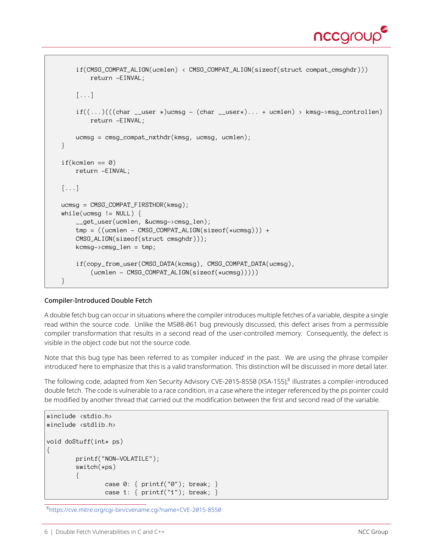

```
if(CMSG_COMPAT_ALIGN(ucmlen) < CMSG_COMPAT_ALIGN(sizeof(struct compat_cmsghdr)))
        return -EINVAL;
    [...]
    if((\ldots)((char \_useer *)) \times ] = (char \_useer*) \ldots + \text{ucm} > kmsq->msq_controllen)
        return -EINVAL;
    ucmsg = cmsg_{compat_{n}}xthdr(kmsg, ucmsg, ucmlen);}
if(kcmlen == 0)return -EINVAL;
[...]
ucmsq = CMSG COMPAT FIRSTHDR(kmsq);
while(ucmsg != NULL) {
    __get_user(ucmlen, &ucmsg->cmsg_len);
    tmp = ((ucmlen - CMSy_COMPAT\_ALIGN(sizeof(*ucmsg))) +CMSG_ALIGN(sizeof(struct cmsghdr)));
    kcmsg->cmsg_len = tmp;
    if(copy_from_user(CMSG_DATA(kcmsg), CMSG_COMPAT_DATA(ucmsg),
        (ucmlen - CMSG_COMPAT_ALIGN(sizeof(*ucmsg)))))
}
```
#### Compiler-Introduced Double Fetch

A double fetch bug can occur in situations where the compiler introduces multiple fetches of a variable, despite a single read within the source code. Unlike the MS08-061 bug previously discussed, this defect arises from a permissible compiler transformation that results in a second read of the user-controlled memory. Consequently, the defect is visible in the object code but not the source code.

Note that this bug type has been referred to as 'compiler induced' in the past. We are using the phrase 'compiler introduced' here to emphasize that this is a valid transformation. This distinction will be discussed in more detail later.

The following code, adapted from Xen Security Advisory CVE-2015-[8](#page-5-0)550 (XSA-155),<sup>8</sup> illustrates a compiler-introduced double fetch. The code is vulnerable to a race condition, in a case where the integer referenced by the ps pointer could be modified by another thread that carried out the modification between the first and second read of the variable.

```
#include <stdio.h>
#include <stdlib.h>
void doStuff(int* ps)
{
        printf("NON-VOLATILE");
        switch(*ps)
        {
                case 0: { printf("0"); break; }
                case 1: { printf("1"); break; }
```
<span id="page-5-0"></span>8 <https://cve.mitre.org/cgi-bin/cvename.cgi?name=CVE-2015-8550>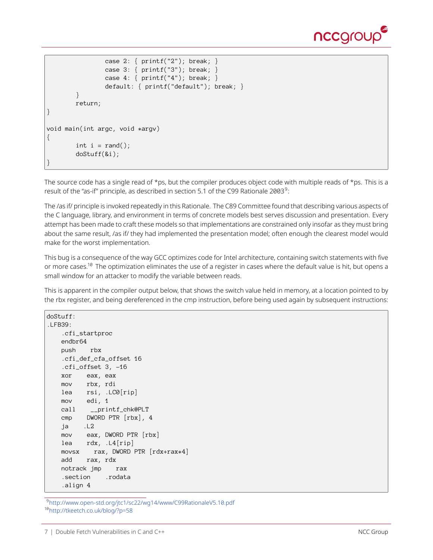

```
case 2: { printf("2"); break; }
                case 3: { printf("3"); break; }
                case 4: \{ printf("4"); break; \}default: { printf("default"); break; }
        }
        return;
}
void main(int argc, void *argv)
{
        int i = rand();
        doStuff(&i);
}
```
The source code has a single read of \*ps, but the compiler produces object code with multiple reads of \*ps. This is a result of the "as-if" principle, as described in section 5.1 of the C[9](#page-6-0)9 Rationale 2003 $^9$ :

The /as if/ principle is invoked repeatedly in this Rationale. The C89 Committee found that describing various aspects of the C language, library, and environment in terms of concrete models best serves discussion and presentation. Every attempt has been made to craft these models so that implementations are constrained only insofar as they must bring about the same result, /as if/ they had implemented the presentation model; often enough the clearest model would make for the worst implementation.

This bug is a consequence of the way GCC optimizes code for Intel architecture, containing switch statements with five or more cases.<sup>[10](#page-6-1)</sup> The optimization eliminates the use of a register in cases where the default value is hit, but opens a small window for an attacker to modify the variable between reads.

This is apparent in the compiler output below, that shows the switch value held in memory, at a location pointed to by the rbx register, and being dereferenced in the cmp instruction, before being used again by subsequent instructions:

```
doStuff:
.LFB39:
   .cfi_startproc
   endbr64
   push rbx
   .cfi_def_cfa_offset 16
   .cfi_offset 3, -16
   xor eax, eax
   mov rbx, rdi
   lea rsi, .LC0[rip]
   mov edi, 1
   call __printf_chk@PLT
   cmp DWORD PTR [rbx], 4
   ja .L2
   mov eax, DWORD PTR [rbx]
   lea rdx, .L4[rip]
   movsx rax, DWORD PTR [rdx+rax*4]
   add rax, rdx
   notrack jmp rax
   .section .rodata
   .align 4
```
<span id="page-6-1"></span><span id="page-6-0"></span>9 <http://www.open-std.org/jtc1/sc22/wg14/www/C99RationaleV5.10.pdf> 1<sup>0</sup><http://tkeetch.co.uk/blog/?p=58>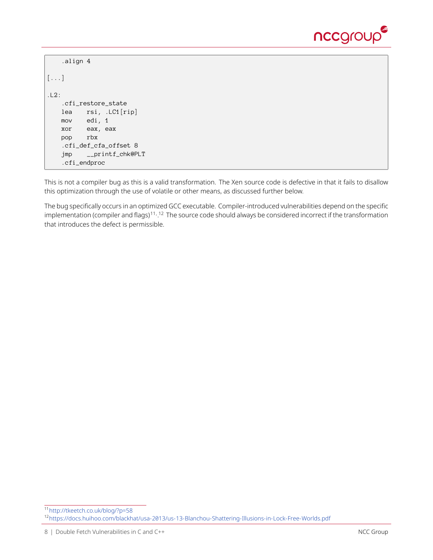

```
.align 4
\left[\ldots\right].L2:
    .cfi_restore_state
   lea rsi, .LC1[rip]
   mov edi, 1
   xor eax, eax
   pop rbx
    .cfi_def_cfa_offset 8
   jmp __printf_chk@PLT
    .cfi_endproc
```
This is not a compiler bug as this is a valid transformation. The Xen source code is defective in that it fails to disallow this optimization through the use of volatile or other means, as discussed further below.

The bug specifically occurs in an optimized GCC executable. Compiler-introduced vulnerabilities depend on the specific implementation (compiler and flags)<sup>[11](#page-7-0), [12](#page-7-1)</sup> The source code should always be considered incorrect if the transformation that introduces the defect is permissible.

<span id="page-7-1"></span><span id="page-7-0"></span><sup>11</sup><http://tkeetch.co.uk/blog/?p=58> <sup>12</sup><https://docs.huihoo.com/blackhat/usa-2013/us-13-Blanchou-Shattering-Illusions-in-Lock-Free-Worlds.pdf>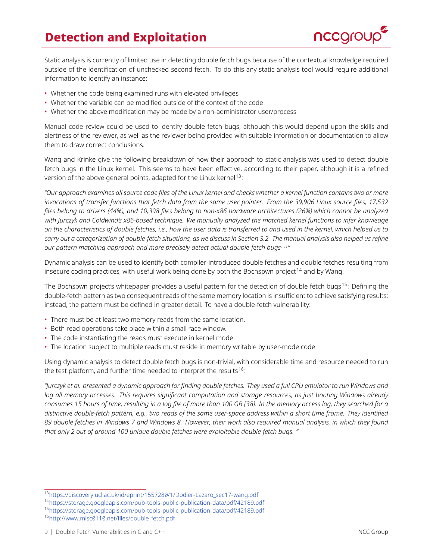## **Detection and Exploitation**



<span id="page-8-0"></span>Static analysis is currently of limited use in detecting double fetch bugs because of the contextual knowledge required outside of the identification of unchecked second fetch. To do this any static analysis tool would require additional information to identify an instance:

- Whether the code being examined runs with elevated privileges
- Whether the variable can be modified outside of the context of the code
- Whether the above modification may be made by a non-administrator user/process

Manual code review could be used to identify double fetch bugs, although this would depend upon the skills and alertness of the reviewer, as well as the reviewer being provided with suitable information or documentation to allow them to draw correct conclusions.

Wang and Krinke give the following breakdown of how their approach to static analysis was used to detect double fetch bugs in the Linux kernel. This seems to have been effective, according to their paper, although it is a refined version of the above general points, adapted for the Linux kernel<sup>[13](#page-8-1)</sup>:

*"Our approach examines all source code files of the Linux kernel and checks whether a kernel function contains two or more invocations of transfer functions that fetch data from the same user pointer. From the 39,906 Linux source files, 17,532 files belong to drivers (44%), and 10,398 files belong to non-x86 hardware architectures (26%) which cannot be analyzed with Jurczyk and Coldwind's x86-based technique. We manually analyzed the matched kernel functions to infer knowledge on the characteristics of double fetches, i.e., how the user data is transferred to and used in the kernel, which helped us to carry out a categorization of double-fetch situations, as we discuss in Section 3.2. The manual analysis also helped us refine our pattern matching approach and more precisely detect actual double-fetch bugs*…*"*

Dynamic analysis can be used to identify both compiler-introduced double fetches and double fetches resulting from insecure coding practices, with useful work being done by both the Bochspwn project<sup>[14](#page-8-2)</sup> and by Wang.

The Bochspwn project's whitepaper provides a useful pattern for the detection of double fetch bugs<sup>[15](#page-8-3)</sup>: Defining the double-fetch pattern as two consequent reads of the same memory location is insufficient to achieve satisfying results; instead, the pattern must be defined in greater detail. To have a double-fetch vulnerability:

- There must be at least two memory reads from the same location.
- Both read operations take place within a small race window.
- The code instantiating the reads must execute in kernel mode.
- The location subject to multiple reads must reside in memory writable by user-mode code.

Using dynamic analysis to detect double fetch bugs is non-trivial, with considerable time and resource needed to run the test platform, and further time needed to interpret the results<sup>[16](#page-8-4)</sup>:

*"Jurczyk et al. presented a dynamic approach for finding double fetches. They used a full CPU emulator to run Windows and log all memory accesses. This requires significant computation and storage resources, as just booting Windows already consumes 15 hours of time, resulting in a log file of more than 100 GB [38]. In the memory access log, they searched for a distinctive double-fetch pattern, e.g., two reads of the same user-space address within a short time frame. They identified 89 double fetches in Windows 7 and Windows 8. However, their work also required manual analysis, in which they found that only 2 out of around 100 unique double fetches were exploitable double-fetch bugs. "*

<span id="page-8-1"></span><sup>13</sup>[https://discovery.ucl.ac.uk/id/eprint/1557280/1/Dodier-Lazaro\\_sec17-wang.pdf](https://discovery.ucl.ac.uk/id/eprint/1557280/1/Dodier-Lazaro_sec17-wang.pdf)

<span id="page-8-3"></span><span id="page-8-2"></span><sup>14</sup><https://storage.googleapis.com/pub-tools-public-publication-data/pdf/42189.pdf> <sup>15</sup><https://storage.googleapis.com/pub-tools-public-publication-data/pdf/42189.pdf>

<span id="page-8-4"></span><sup>16</sup>[http://www.misc0110.net/files/double\\_fetch.pdf](http://www.misc0110.net/files/double_fetch.pdf)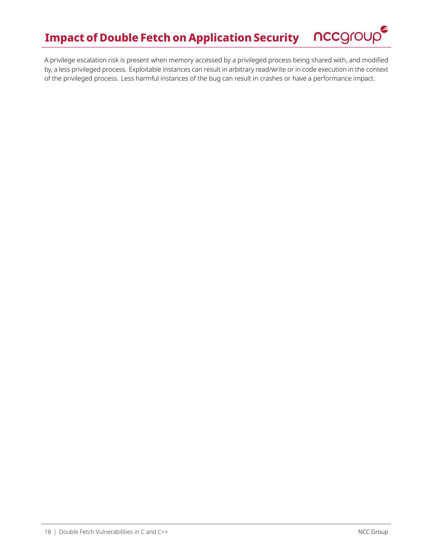

<span id="page-9-0"></span>A privilege escalation risk is present when memory accessed by a privileged process being shared with, and modified by, a less privileged process. Exploitable instances can result in arbitrary read/write or in code execution in the context of the privileged process. Less harmful instances of the bug can result in crashes or have a performance impact.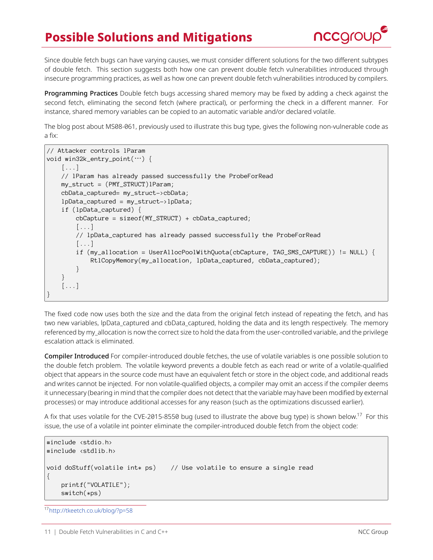# **Possible Solutions and Mitigations**



<span id="page-10-0"></span>Since double fetch bugs can have varying causes, we must consider different solutions for the two different subtypes of double fetch. This section suggests both how one can prevent double fetch vulnerabilities introduced through insecure programming practices, as well as how one can prevent double fetch vulnerabilities introduced by compilers.

Programming Practices Double fetch bugs accessing shared memory may be fixed by adding a check against the second fetch, eliminating the second fetch (where practical), or performing the check in a different manner. For instance, shared memory variables can be copied to an automatic variable and/or declared volatile.

The blog post about MS08-061, previously used to illustrate this bug type, gives the following non-vulnerable code as a fix:

```
// Attacker controls lParam
void win32k_entry_point(…) {
    [...]
   // lParam has already passed successfully the ProbeForRead
    my_struct = (PMY_STRUCT)lParam;
    cbData_captured= my_struct->cbData;
    lpData_captured = my_struct->lpData;
    if (lpData_captured) {
        cbCapture = sizeof(MY_STRUCT) + cbData_captured;
        [...]
        // lpData_captured has already passed successfully the ProbeForRead
        [\ldots]if (my_allocation = UserAllocPoolWithQuota(cbCapture, TAG_SMS_CAPTURE)) != NULL) {
            RtlCopyMemory(my_allocation, lpData_captured, cbData_captured);
        }
    }
    [...]
}
```
The fixed code now uses both the size and the data from the original fetch instead of repeating the fetch, and has two new variables, lpData\_captured and cbData\_captured, holding the data and its length respectively. The memory referenced by my allocation is now the correct size to hold the data from the user-controlled variable, and the privilege escalation attack is eliminated.

Compiler Introduced For compiler-introduced double fetches, the use of volatile variables is one possible solution to the double fetch problem. The volatile keyword prevents a double fetch as each read or write of a volatile-qualified object that appears in the source code must have an equivalent fetch or store in the object code, and additional reads and writes cannot be injected. For non volatile-qualified objects, a compiler may omit an access if the compiler deems it unnecessary (bearing in mind that the compiler does not detect that the variable may have been modified by external processes) or may introduce additional accesses for any reason (such as the optimizations discussed earlier).

A fix that uses volatile for the CVE-2015-8550 bug (used to illustrate the above bug type) is shown below.<sup>[17](#page-10-1)</sup> For this issue, the use of a volatile int pointer eliminate the compiler-introduced double fetch from the object code:

```
#include <stdio.h>
#include <stdlib.h>
void doStuff(volatile int* ps) // Use volatile to ensure a single read
{
    printf("VOLATILE");
    switch(*ps)
```
<span id="page-10-1"></span><sup>17</sup><http://tkeetch.co.uk/blog/?p=58>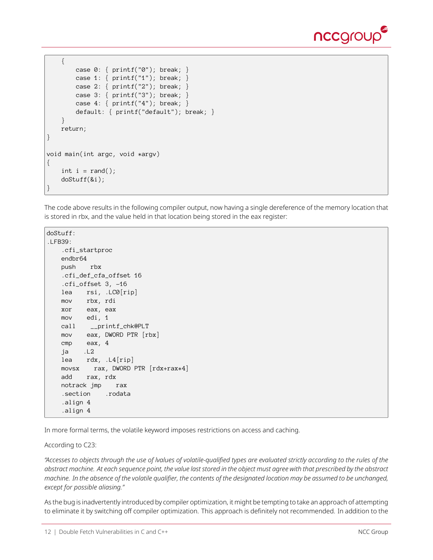

```
{
        case 0: { printf("0"); break; }
       case 1: \{ printf("1"); break; \}case 2: { printf("2"); break; }
        case 3: \{ printf("3"); break; \}case 4: { printf("4"); break; }
        default: { printf("default"); break; }
    }
   return;
}
void main(int argc, void *argv)
{
    int i = rand();
    doStuff(&i);
}
```
The code above results in the following compiler output, now having a single dereference of the memory location that is stored in rbx, and the value held in that location being stored in the eax register:

```
doStuff:
.LFB39:
   .cfi_startproc
   endbr64
   push rbx
   .cfi_def_cfa_offset 16
   .cfi_offset 3, -16
   lea rsi, .LC0[rip]
   mov rbx, rdi
   xor eax, eax
   mov edi, 1
   call __printf_chk@PLT
   mov eax, DWORD PTR [rbx]
   cmp eax, 4
   ja .L2
   lea rdx, .L4[rip]
   movsx rax, DWORD PTR [rdx+rax*4]
   add rax, rdx
   notrack jmp rax
   .section .rodata
   .align 4
   .align 4
```
In more formal terms, the volatile keyword imposes restrictions on access and caching.

According to C23:

*"Accesses to objects through the use of lvalues of volatile-qualified types are evaluated strictly according to the rules of the abstract machine. At each sequence point, the value last stored in the object must agree with that prescribed by the abstract machine. In the absence of the volatile qualifier, the contents of the designated location may be assumed to be unchanged, except for possible aliasing."*

As the bug is inadvertently introduced by compiler optimization, it might be tempting to take an approach of attempting to eliminate it by switching off compiler optimization. This approach is definitely not recommended. In addition to the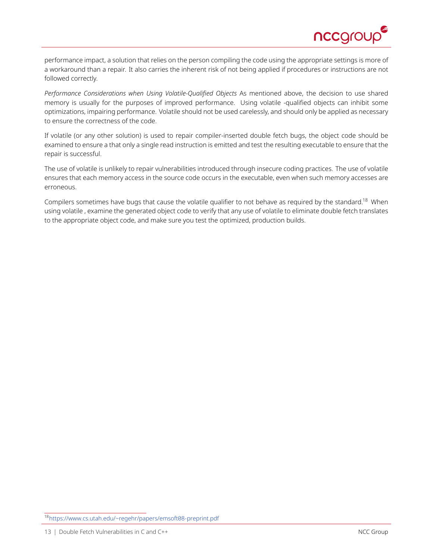

performance impact, a solution that relies on the person compiling the code using the appropriate settings is more of a workaround than a repair. It also carries the inherent risk of not being applied if procedures or instructions are not followed correctly.

*Performance Considerations when Using Volatile-Qualified Objects* As mentioned above, the decision to use shared memory is usually for the purposes of improved performance. Using volatile -qualified objects can inhibit some optimizations, impairing performance. Volatile should not be used carelessly, and should only be applied as necessary to ensure the correctness of the code.

If volatile (or any other solution) is used to repair compiler-inserted double fetch bugs, the object code should be examined to ensure a that only a single read instruction is emitted and test the resulting executable to ensure that the repair is successful.

The use of volatile is unlikely to repair vulnerabilities introduced through insecure coding practices. The use of volatile ensures that each memory access in the source code occurs in the executable, even when such memory accesses are erroneous.

Compilers sometimes have bugs that cause the volatile qualifier to not behave as required by the standard.<sup>[18](#page-12-0)</sup> When using volatile , examine the generated object code to verify that any use of volatile to eliminate double fetch translates to the appropriate object code, and make sure you test the optimized, production builds.

<span id="page-12-0"></span><sup>18</sup><https://www.cs.utah.edu/~regehr/papers/emsoft08-preprint.pdf>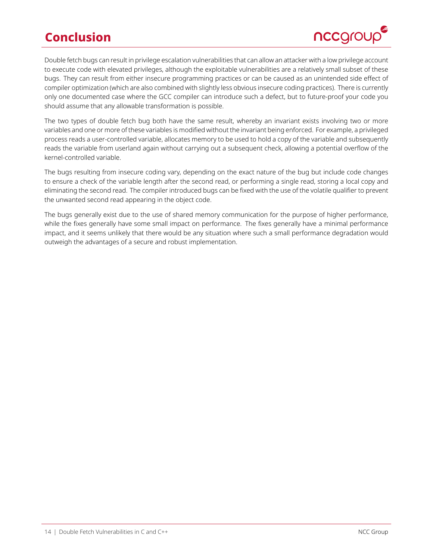# **Conclusion**



<span id="page-13-0"></span>Double fetch bugs can result in privilege escalation vulnerabilities that can allow an attacker with a low privilege account to execute code with elevated privileges, although the exploitable vulnerabilities are a relatively small subset of these bugs. They can result from either insecure programming practices or can be caused as an unintended side effect of compiler optimization (which are also combined with slightly less obvious insecure coding practices). There is currently only one documented case where the GCC compiler can introduce such a defect, but to future-proof your code you should assume that any allowable transformation is possible.

The two types of double fetch bug both have the same result, whereby an invariant exists involving two or more variables and one or more of these variables is modified without the invariant being enforced. For example, a privileged process reads a user-controlled variable, allocates memory to be used to hold a copy of the variable and subsequently reads the variable from userland again without carrying out a subsequent check, allowing a potential overflow of the kernel-controlled variable.

The bugs resulting from insecure coding vary, depending on the exact nature of the bug but include code changes to ensure a check of the variable length after the second read, or performing a single read, storing a local copy and eliminating the second read. The compiler introduced bugs can be fixed with the use of the volatile qualifier to prevent the unwanted second read appearing in the object code.

The bugs generally exist due to the use of shared memory communication for the purpose of higher performance, while the fixes generally have some small impact on performance. The fixes generally have a minimal performance impact, and it seems unlikely that there would be any situation where such a small performance degradation would outweigh the advantages of a secure and robust implementation.